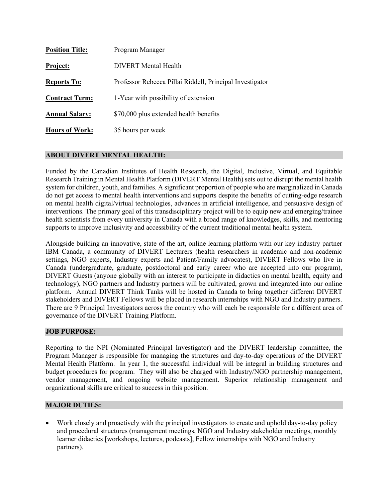| <b>Position Title:</b> | Program Manager                                          |
|------------------------|----------------------------------------------------------|
| Project:               | DIVERT Mental Health                                     |
| <b>Reports To:</b>     | Professor Rebecca Pillai Riddell, Principal Investigator |
| <b>Contract Term:</b>  | 1-Year with possibility of extension                     |
| <b>Annual Salary:</b>  | \$70,000 plus extended health benefits                   |
| <b>Hours of Work:</b>  | 35 hours per week                                        |

### **ABOUT DIVERT MENTAL HEALTH:**

Funded by the Canadian Institutes of Health Research, the Digital, Inclusive, Virtual, and Equitable Research Training in Mental Health Platform (DIVERT Mental Health) sets out to disrupt the mental health system for children, youth, and families. A significant proportion of people who are marginalized in Canada do not get access to mental health interventions and supports despite the benefits of cutting-edge research on mental health digital/virtual technologies, advances in artificial intelligence, and persuasive design of interventions. The primary goal of this transdisciplinary project will be to equip new and emerging/trainee health scientists from every university in Canada with a broad range of knowledges, skills, and mentoring supports to improve inclusivity and accessibility of the current traditional mental health system.

Alongside building an innovative, state of the art, online learning platform with our key industry partner IBM Canada, a community of DIVERT Lecturers (health researchers in academic and non-academic settings, NGO experts, Industry experts and Patient/Family advocates), DIVERT Fellows who live in Canada (undergraduate, graduate, postdoctoral and early career who are accepted into our program), DIVERT Guests (anyone globally with an interest to participate in didactics on mental health, equity and technology), NGO partners and Industry partners will be cultivated, grown and integrated into our online platform. Annual DIVERT Think Tanks will be hosted in Canada to bring together different DIVERT stakeholders and DIVERT Fellows will be placed in research internships with NGO and Industry partners. There are 9 Principal Investigators across the country who will each be responsible for a different area of governance of the DIVERT Training Platform.

### **JOB PURPOSE:**

Reporting to the NPI (Nominated Principal Investigator) and the DIVERT leadership committee, the Program Manager is responsible for managing the structures and day-to-day operations of the DIVERT Mental Health Platform. In year 1, the successful individual will be integral in building structures and budget procedures for program. They will also be charged with Industry/NGO partnership management, vendor management, and ongoing website management. Superior relationship management and organizational skills are critical to success in this position.

### **MAJOR DUTIES:**

• Work closely and proactively with the principal investigators to create and uphold day-to-day policy and procedural structures (management meetings, NGO and Industry stakeholder meetings, monthly learner didactics [workshops, lectures, podcasts], Fellow internships with NGO and Industry partners).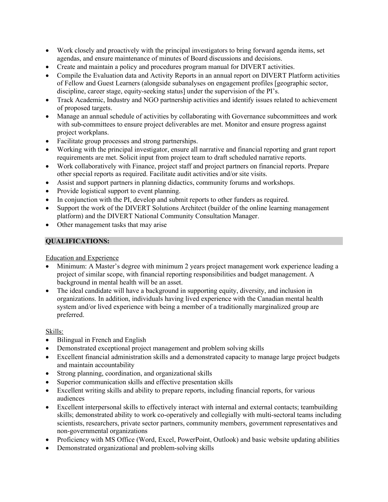- Work closely and proactively with the principal investigators to bring forward agenda items, set agendas, and ensure maintenance of minutes of Board discussions and decisions.
- Create and maintain a policy and procedures program manual for DIVERT activities.
- Compile the Evaluation data and Activity Reports in an annual report on DIVERT Platform activities of Fellow and Guest Learners (alongside subanalyses on engagement profiles [geographic sector, discipline, career stage, equity-seeking status] under the supervision of the PI's.
- Track Academic, Industry and NGO partnership activities and identify issues related to achievement of proposed targets.
- Manage an annual schedule of activities by collaborating with Governance subcommittees and work with sub-committees to ensure project deliverables are met. Monitor and ensure progress against project workplans.
- Facilitate group processes and strong partnerships.
- Working with the principal investigator, ensure all narrative and financial reporting and grant report requirements are met. Solicit input from project team to draft scheduled narrative reports.
- Work collaboratively with Finance, project staff and project partners on financial reports. Prepare other special reports as required. Facilitate audit activities and/or site visits.
- Assist and support partners in planning didactics, community forums and workshops.
- Provide logistical support to event planning.
- In conjunction with the PI, develop and submit reports to other funders as required.
- Support the work of the DIVERT Solutions Architect (builder of the online learning management platform) and the DIVERT National Community Consultation Manager.
- Other management tasks that may arise

## **QUALIFICATIONS:**

Education and Experience

- Minimum: A Master's degree with minimum 2 years project management work experience leading a project of similar scope, with financial reporting responsibilities and budget management. A background in mental health will be an asset.
- The ideal candidate will have a background in supporting equity, diversity, and inclusion in organizations. In addition, individuals having lived experience with the Canadian mental health system and/or lived experience with being a member of a traditionally marginalized group are preferred.

### Skills:

- Bilingual in French and English
- Demonstrated exceptional project management and problem solving skills
- Excellent financial administration skills and a demonstrated capacity to manage large project budgets and maintain accountability
- Strong planning, coordination, and organizational skills
- Superior communication skills and effective presentation skills
- Excellent writing skills and ability to prepare reports, including financial reports, for various audiences
- Excellent interpersonal skills to effectively interact with internal and external contacts; teambuilding skills; demonstrated ability to work co-operatively and collegially with multi-sectoral teams including scientists, researchers, private sector partners, community members, government representatives and non-governmental organizations
- Proficiency with MS Office (Word, Excel, PowerPoint, Outlook) and basic website updating abilities
- Demonstrated organizational and problem-solving skills